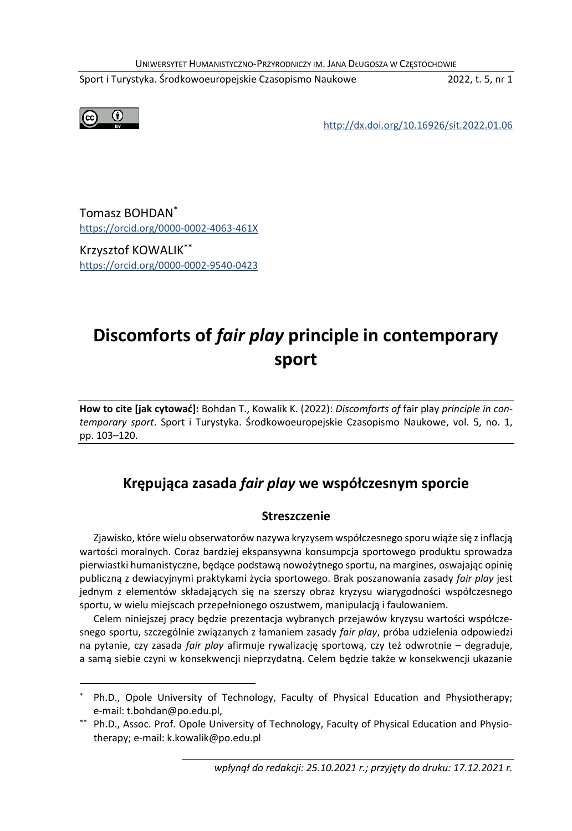UNIWERSYTET HUMANISTYCZNO-PRZYRODNICZY IM. JANA DŁUGOSZA W CZĘSTOCHOWIE

Sport i Turystyka. Środkowoeuropejskie Czasopismo Naukowe 2022, t. 5, nr 1



<http://dx.doi.org/10.16926/sit.2022.01.06>

Tomasz BOHDAN\* <https://orcid.org/0000-0002-4063-461X>

Krzysztof KOWALIK\*\* <https://orcid.org/0000-0002-9540-0423>

# **Discomforts of** *fair play* **principle in contemporary sport**

**How to cite [jak cytować]:** Bohdan T., Kowalik K. (2022): *Discomforts of* fair play *principle in contemporary sport*. Sport i Turystyka. Środkowoeuropejskie Czasopismo Naukowe, vol. 5, no. 1, pp. 103–120.

# **Krępująca zasada** *fair play* **we współczesnym sporcie**

## **Streszczenie**

Zjawisko, które wielu obserwatorów nazywa kryzysem współczesnego sporu wiąże się z inflacją wartości moralnych. Coraz bardziej ekspansywna konsumpcja sportowego produktu sprowadza pierwiastki humanistyczne, będące podstawą nowożytnego sportu, na margines, oswajając opinię publiczną z dewiacyjnymi praktykami życia sportowego. Brak poszanowania zasady *fair play* jest jednym z elementów składających się na szerszy obraz kryzysu wiarygodności współczesnego sportu, w wielu miejscach przepełnionego oszustwem, manipulacją i faulowaniem.

Celem niniejszej pracy będzie prezentacja wybranych przejawów kryzysu wartości współczesnego sportu, szczególnie związanych z łamaniem zasady *fair play*, próba udzielenia odpowiedzi na pytanie, czy zasada *fair play* afirmuje rywalizację sportową, czy też odwrotnie – degraduje, a samą siebie czyni w konsekwencji nieprzydatną. Celem będzie także w konsekwencji ukazanie

Ph.D., Opole University of Technology, Faculty of Physical Education and Physiotherapy; e-mail: t.bohdan@po.edu.pl,

<sup>\*\*</sup> Ph.D., Assoc. Prof. Opole University of Technology, Faculty of Physical Education and Physiotherapy; e-mail: k.kowalik@po.edu.pl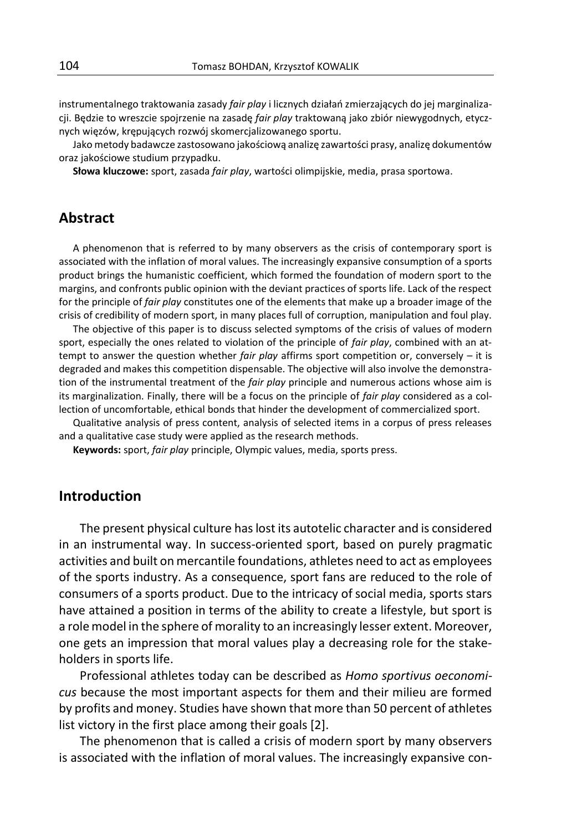instrumentalnego traktowania zasady *fair play* i licznych działań zmierzających do jej marginalizacji. Będzie to wreszcie spojrzenie na zasadę *fair play* traktowaną jako zbiór niewygodnych, etycznych więzów, krępujących rozwój skomercjalizowanego sportu.

Jako metody badawcze zastosowano jakościową analizę zawartości prasy, analizę dokumentów oraz jakościowe studium przypadku.

**Słowa kluczowe:** sport, zasada *fair play*, wartości olimpijskie, media, prasa sportowa.

# **Abstract**

A phenomenon that is referred to by many observers as the crisis of contemporary sport is associated with the inflation of moral values. The increasingly expansive consumption of a sports product brings the humanistic coefficient, which formed the foundation of modern sport to the margins, and confronts public opinion with the deviant practices of sports life. Lack of the respect for the principle of *fair play* constitutes one of the elements that make up a broader image of the crisis of credibility of modern sport, in many places full of corruption, manipulation and foul play.

The objective of this paper is to discuss selected symptoms of the crisis of values of modern sport, especially the ones related to violation of the principle of *fair play*, combined with an attempt to answer the question whether *fair play* affirms sport competition or, conversely – it is degraded and makes this competition dispensable. The objective will also involve the demonstration of the instrumental treatment of the *fair play* principle and numerous actions whose aim is its marginalization. Finally, there will be a focus on the principle of *fair play* considered as a collection of uncomfortable, ethical bonds that hinder the development of commercialized sport.

Qualitative analysis of press content, analysis of selected items in a corpus of press releases and a qualitative case study were applied as the research methods.

**Keywords:** sport, *fair play* principle, Olympic values, media, sports press.

# **Introduction**

The present physical culture has lost its autotelic character and is considered in an instrumental way. In success-oriented sport, based on purely pragmatic activities and built on mercantile foundations, athletes need to act as employees of the sports industry. As a consequence, sport fans are reduced to the role of consumers of a sports product. Due to the intricacy of social media, sports stars have attained a position in terms of the ability to create a lifestyle, but sport is a role model in the sphere of morality to an increasingly lesser extent. Moreover, one gets an impression that moral values play a decreasing role for the stakeholders in sports life.

Professional athletes today can be described as *Homo sportivus oeconomicus* because the most important aspects for them and their milieu are formed by profits and money. Studies have shown that more than 50 percent of athletes list victory in the first place among their goals [2].

The phenomenon that is called a crisis of modern sport by many observers is associated with the inflation of moral values. The increasingly expansive con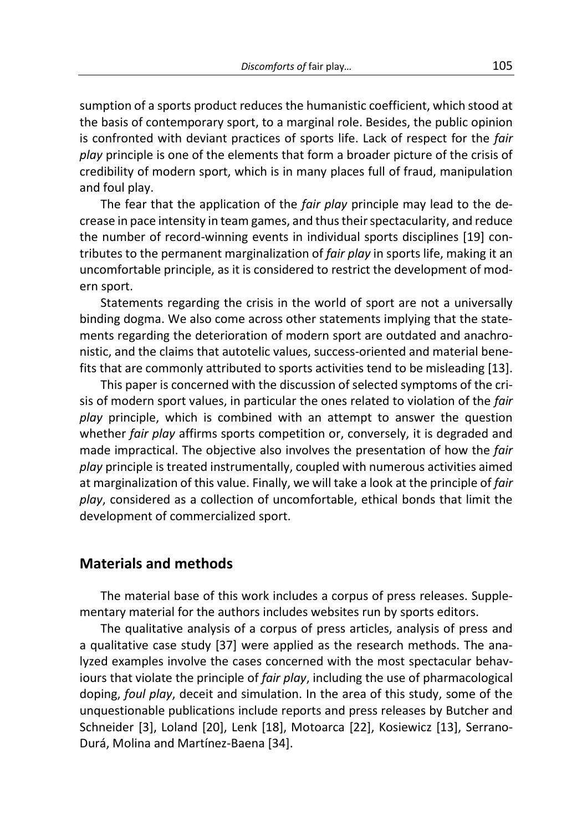sumption of a sports product reduces the humanistic coefficient, which stood at the basis of contemporary sport, to a marginal role. Besides, the public opinion is confronted with deviant practices of sports life. Lack of respect for the *fair play* principle is one of the elements that form a broader picture of the crisis of credibility of modern sport, which is in many places full of fraud, manipulation and foul play.

The fear that the application of the *fair play* principle may lead to the decrease in pace intensity in team games, and thus their spectacularity, and reduce the number of record-winning events in individual sports disciplines [19] contributes to the permanent marginalization of *fair play* in sports life, making it an uncomfortable principle, as it is considered to restrict the development of modern sport.

Statements regarding the crisis in the world of sport are not a universally binding dogma. We also come across other statements implying that the statements regarding the deterioration of modern sport are outdated and anachronistic, and the claims that autotelic values, success-oriented and material benefits that are commonly attributed to sports activities tend to be misleading [13].

This paper is concerned with the discussion of selected symptoms of the crisis of modern sport values, in particular the ones related to violation of the *fair play* principle, which is combined with an attempt to answer the question whether *fair play* affirms sports competition or, conversely, it is degraded and made impractical. The objective also involves the presentation of how the *fair play* principle is treated instrumentally, coupled with numerous activities aimed at marginalization of this value. Finally, we will take a look at the principle of *fair play*, considered as a collection of uncomfortable, ethical bonds that limit the development of commercialized sport.

# **Materials and methods**

The material base of this work includes a corpus of press releases. Supplementary material for the authors includes websites run by sports editors.

The qualitative analysis of a corpus of press articles, analysis of press and a qualitative case study [37] were applied as the research methods. The analyzed examples involve the cases concerned with the most spectacular behaviours that violate the principle of *fair play*, including the use of pharmacological doping, *foul play*, deceit and simulation. In the area of this study, some of the unquestionable publications include reports and press releases by Butcher and Schneider [3], Loland [20], Lenk [18], Motoarca [22], Kosiewicz [13], Serrano-Durá, Molina and Martínez-Baena [34].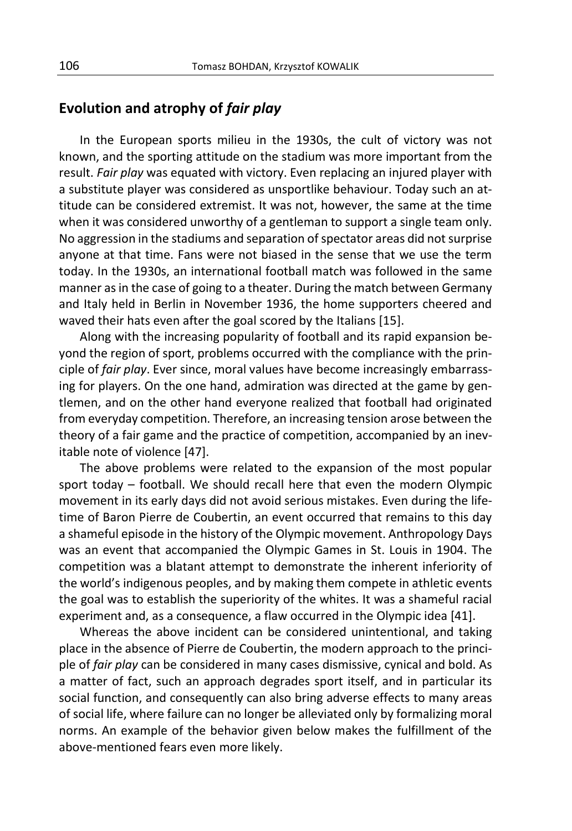# **Evolution and atrophy of** *fair play*

In the European sports milieu in the 1930s, the cult of victory was not known, and the sporting attitude on the stadium was more important from the result. *Fair play* was equated with victory. Even replacing an injured player with a substitute player was considered as unsportlike behaviour. Today such an attitude can be considered extremist. It was not, however, the same at the time when it was considered unworthy of a gentleman to support a single team only. No aggression in the stadiums and separation of spectator areas did not surprise anyone at that time. Fans were not biased in the sense that we use the term today. In the 1930s, an international football match was followed in the same manner as in the case of going to a theater. During the match between Germany and Italy held in Berlin in November 1936, the home supporters cheered and waved their hats even after the goal scored by the Italians [15].

Along with the increasing popularity of football and its rapid expansion beyond the region of sport, problems occurred with the compliance with the principle of *fair play*. Ever since, moral values have become increasingly embarrassing for players. On the one hand, admiration was directed at the game by gentlemen, and on the other hand everyone realized that football had originated from everyday competition. Therefore, an increasing tension arose between the theory of a fair game and the practice of competition, accompanied by an inevitable note of violence [47].

The above problems were related to the expansion of the most popular sport today – football. We should recall here that even the modern Olympic movement in its early days did not avoid serious mistakes. Even during the lifetime of Baron Pierre de Coubertin, an event occurred that remains to this day a shameful episode in the history of the Olympic movement. Anthropology Days was an event that accompanied the Olympic Games in St. Louis in 1904. The competition was a blatant attempt to demonstrate the inherent inferiority of the world's indigenous peoples, and by making them compete in athletic events the goal was to establish the superiority of the whites. It was a shameful racial experiment and, as a consequence, a flaw occurred in the Olympic idea [41].

Whereas the above incident can be considered unintentional, and taking place in the absence of Pierre de Coubertin, the modern approach to the principle of *fair play* can be considered in many cases dismissive, cynical and bold. As a matter of fact, such an approach degrades sport itself, and in particular its social function, and consequently can also bring adverse effects to many areas of social life, where failure can no longer be alleviated only by formalizing moral norms. An example of the behavior given below makes the fulfillment of the above-mentioned fears even more likely.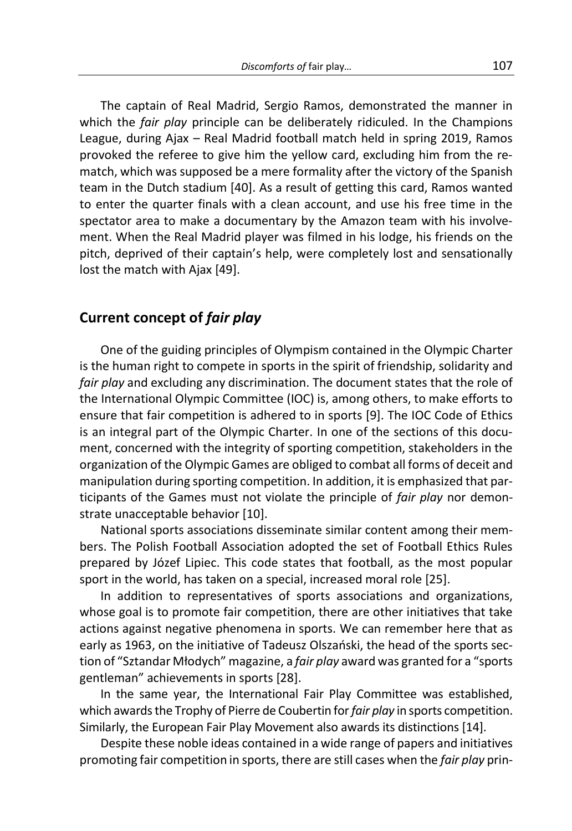The captain of Real Madrid, Sergio Ramos, demonstrated the manner in which the *fair play* principle can be deliberately ridiculed. In the Champions League, during Ajax – Real Madrid football match held in spring 2019, Ramos provoked the referee to give him the yellow card, excluding him from the rematch, which was supposed be a mere formality after the victory of the Spanish team in the Dutch stadium [40]. As a result of getting this card, Ramos wanted to enter the quarter finals with a clean account, and use his free time in the spectator area to make a documentary by the Amazon team with his involvement. When the Real Madrid player was filmed in his lodge, his friends on the pitch, deprived of their captain's help, were completely lost and sensationally lost the match with Ajax [49].

## **Current concept of** *fair play*

One of the guiding principles of Olympism contained in the Olympic Charter is the human right to compete in sports in the spirit of friendship, solidarity and *fair play* and excluding any discrimination. The document states that the role of the International Olympic Committee (IOC) is, among others, to make efforts to ensure that fair competition is adhered to in sports [9]. The IOC Code of Ethics is an integral part of the Olympic Charter. In one of the sections of this document, concerned with the integrity of sporting competition, stakeholders in the organization of the Olympic Games are obliged to combat all forms of deceit and manipulation during sporting competition. In addition, it is emphasized that participants of the Games must not violate the principle of *fair play* nor demonstrate unacceptable behavior [10].

National sports associations disseminate similar content among their members. The Polish Football Association adopted the set of Football Ethics Rules prepared by Józef Lipiec. This code states that football, as the most popular sport in the world, has taken on a special, increased moral role [25].

In addition to representatives of sports associations and organizations, whose goal is to promote fair competition, there are other initiatives that take actions against negative phenomena in sports. We can remember here that as early as 1963, on the initiative of Tadeusz Olszański, the head of the sports section of "Sztandar Młodych" magazine, a *fair play* award was granted for a "sports gentleman" achievements in sports [28].

In the same year, the International Fair Play Committee was established, which awards the Trophy of Pierre de Coubertin for *fair play* in sports competition. Similarly, the European Fair Play Movement also awards its distinctions [14].

Despite these noble ideas contained in a wide range of papers and initiatives promoting fair competition in sports, there are still cases when the *fair play* prin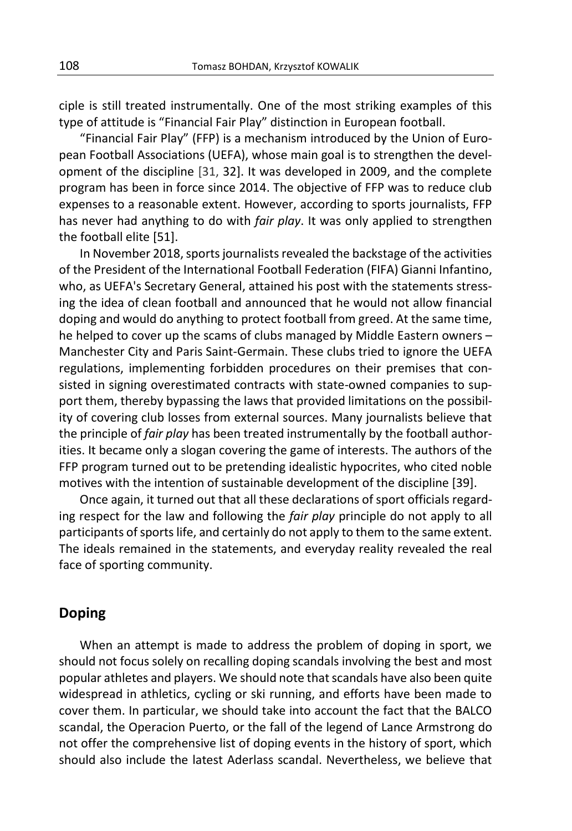ciple is still treated instrumentally. One of the most striking examples of this type of attitude is "Financial Fair Play" distinction in European football.

"Financial Fair Play" (FFP) is a mechanism introduced by the Union of European Football Associations (UEFA), whose main goal is to strengthen the development of the discipline [31, 32]. It was developed in 2009, and the complete program has been in force since 2014. The objective of FFP was to reduce club expenses to a reasonable extent. However, according to sports journalists, FFP has never had anything to do with *fair play*. It was only applied to strengthen the football elite [51].

In November 2018, sports journalists revealed the backstage of the activities of the President of the International Football Federation (FIFA) Gianni Infantino, who, as UEFA's Secretary General, attained his post with the statements stressing the idea of clean football and announced that he would not allow financial doping and would do anything to protect football from greed. At the same time, he helped to cover up the scams of clubs managed by Middle Eastern owners – Manchester City and Paris Saint-Germain. These clubs tried to ignore the UEFA regulations, implementing forbidden procedures on their premises that consisted in signing overestimated contracts with state-owned companies to support them, thereby bypassing the laws that provided limitations on the possibility of covering club losses from external sources. Many journalists believe that the principle of *fair play* has been treated instrumentally by the football authorities. It became only a slogan covering the game of interests. The authors of the FFP program turned out to be pretending idealistic hypocrites, who cited noble motives with the intention of sustainable development of the discipline [39].

Once again, it turned out that all these declarations of sport officials regarding respect for the law and following the *fair play* principle do not apply to all participants of sports life, and certainly do not apply to them to the same extent. The ideals remained in the statements, and everyday reality revealed the real face of sporting community.

## **Doping**

When an attempt is made to address the problem of doping in sport, we should not focus solely on recalling doping scandals involving the best and most popular athletes and players. We should note that scandals have also been quite widespread in athletics, cycling or ski running, and efforts have been made to cover them. In particular, we should take into account the fact that the BALCO scandal, the Operacion Puerto, or the fall of the legend of Lance Armstrong do not offer the comprehensive list of doping events in the history of sport, which should also include the latest Aderlass scandal. Nevertheless, we believe that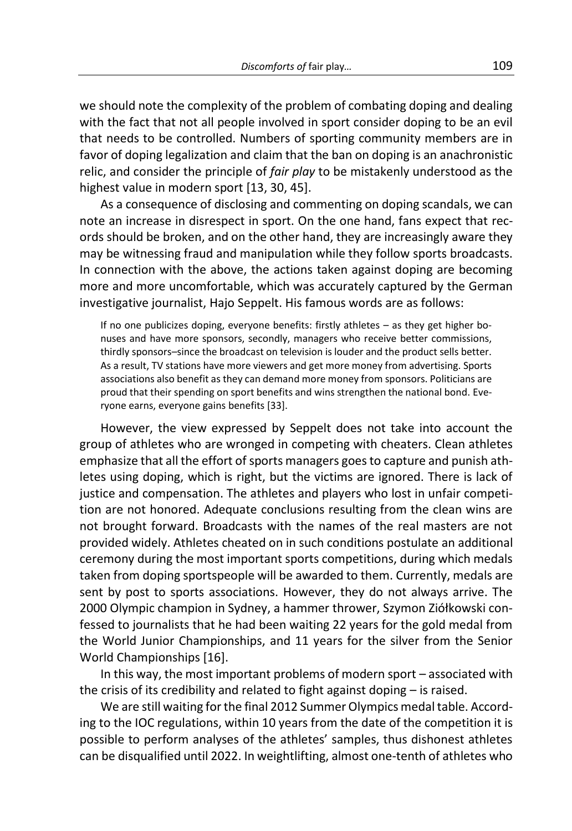we should note the complexity of the problem of combating doping and dealing with the fact that not all people involved in sport consider doping to be an evil that needs to be controlled. Numbers of sporting community members are in favor of doping legalization and claim that the ban on doping is an anachronistic relic, and consider the principle of *fair play* to be mistakenly understood as the highest value in modern sport [13, 30, 45].

As a consequence of disclosing and commenting on doping scandals, we can note an increase in disrespect in sport. On the one hand, fans expect that records should be broken, and on the other hand, they are increasingly aware they may be witnessing fraud and manipulation while they follow sports broadcasts. In connection with the above, the actions taken against doping are becoming more and more uncomfortable, which was accurately captured by the German investigative journalist, Hajo Seppelt. His famous words are as follows:

If no one publicizes doping, everyone benefits: firstly athletes – as they get higher bonuses and have more sponsors, secondly, managers who receive better commissions, thirdly sponsors–since the broadcast on television is louder and the product sells better. As a result, TV stations have more viewers and get more money from advertising. Sports associations also benefit as they can demand more money from sponsors. Politicians are proud that their spending on sport benefits and wins strengthen the national bond. Everyone earns, everyone gains benefits [33].

However, the view expressed by Seppelt does not take into account the group of athletes who are wronged in competing with cheaters. Clean athletes emphasize that all the effort of sports managers goes to capture and punish athletes using doping, which is right, but the victims are ignored. There is lack of justice and compensation. The athletes and players who lost in unfair competition are not honored. Adequate conclusions resulting from the clean wins are not brought forward. Broadcasts with the names of the real masters are not provided widely. Athletes cheated on in such conditions postulate an additional ceremony during the most important sports competitions, during which medals taken from doping sportspeople will be awarded to them. Currently, medals are sent by post to sports associations. However, they do not always arrive. The 2000 Olympic champion in Sydney, a hammer thrower, Szymon Ziółkowski confessed to journalists that he had been waiting 22 years for the gold medal from the World Junior Championships, and 11 years for the silver from the Senior World Championships [16].

In this way, the most important problems of modern sport – associated with the crisis of its credibility and related to fight against doping – is raised.

We are still waiting for the final 2012 Summer Olympics medal table. According to the IOC regulations, within 10 years from the date of the competition it is possible to perform analyses of the athletes' samples, thus dishonest athletes can be disqualified until 2022. In weightlifting, almost one-tenth of athletes who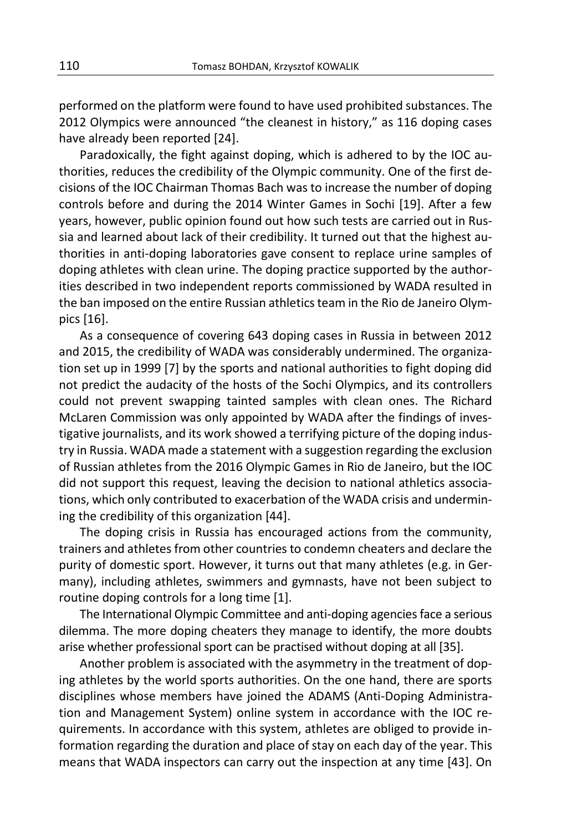performed on the platform were found to have used prohibited substances. The 2012 Olympics were announced "the cleanest in history," as 116 doping cases have already been reported [24].

Paradoxically, the fight against doping, which is adhered to by the IOC authorities, reduces the credibility of the Olympic community. One of the first decisions of the IOC Chairman Thomas Bach was to increase the number of doping controls before and during the 2014 Winter Games in Sochi [19]. After a few years, however, public opinion found out how such tests are carried out in Russia and learned about lack of their credibility. It turned out that the highest authorities in anti-doping laboratories gave consent to replace urine samples of doping athletes with clean urine. The doping practice supported by the authorities described in two independent reports commissioned by WADA resulted in the ban imposed on the entire Russian athletics team in the Rio de Janeiro Olympics [16].

As a consequence of covering 643 doping cases in Russia in between 2012 and 2015, the credibility of WADA was considerably undermined. The organization set up in 1999 [7] by the sports and national authorities to fight doping did not predict the audacity of the hosts of the Sochi Olympics, and its controllers could not prevent swapping tainted samples with clean ones. The Richard McLaren Commission was only appointed by WADA after the findings of investigative journalists, and its work showed a terrifying picture of the doping industry in Russia. WADA made a statement with a suggestion regarding the exclusion of Russian athletes from the 2016 Olympic Games in Rio de Janeiro, but the IOC did not support this request, leaving the decision to national athletics associations, which only contributed to exacerbation of the WADA crisis and undermining the credibility of this organization [44].

The doping crisis in Russia has encouraged actions from the community, trainers and athletes from other countries to condemn cheaters and declare the purity of domestic sport. However, it turns out that many athletes (e.g. in Germany), including athletes, swimmers and gymnasts, have not been subject to routine doping controls for a long time [1].

The International Olympic Committee and anti-doping agencies face a serious dilemma. The more doping cheaters they manage to identify, the more doubts arise whether professional sport can be practised without doping at all [35].

Another problem is associated with the asymmetry in the treatment of doping athletes by the world sports authorities. On the one hand, there are sports disciplines whose members have joined the ADAMS (Anti-Doping Administration and Management System) online system in accordance with the IOC requirements. In accordance with this system, athletes are obliged to provide information regarding the duration and place of stay on each day of the year. This means that WADA inspectors can carry out the inspection at any time [43]. On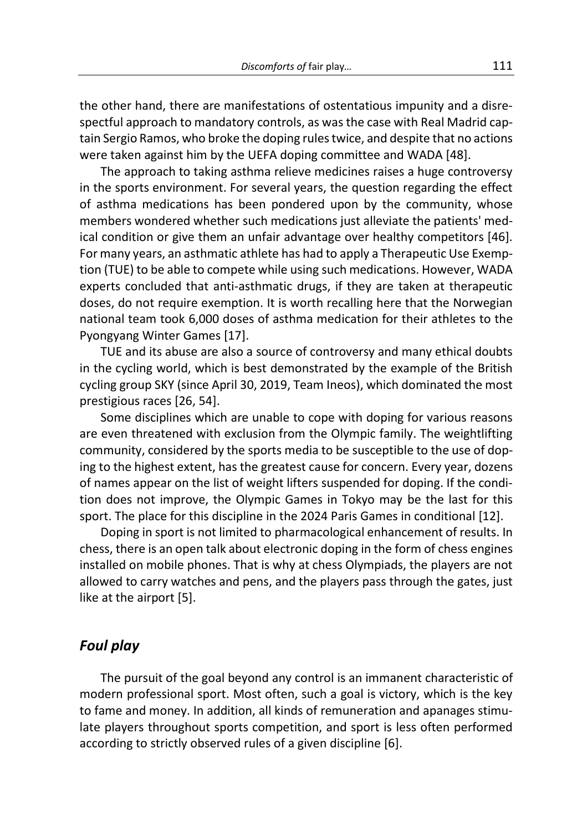the other hand, there are manifestations of ostentatious impunity and a disrespectful approach to mandatory controls, as was the case with Real Madrid captain Sergio Ramos, who broke the doping rules twice, and despite that no actions were taken against him by the UEFA doping committee and WADA [48].

The approach to taking asthma relieve medicines raises a huge controversy in the sports environment. For several years, the question regarding the effect of asthma medications has been pondered upon by the community, whose members wondered whether such medications just alleviate the patients' medical condition or give them an unfair advantage over healthy competitors [46]. For many years, an asthmatic athlete has had to apply a Therapeutic Use Exemption (TUE) to be able to compete while using such medications. However, WADA experts concluded that anti-asthmatic drugs, if they are taken at therapeutic doses, do not require exemption. It is worth recalling here that the Norwegian national team took 6,000 doses of asthma medication for their athletes to the Pyongyang Winter Games [17].

TUE and its abuse are also a source of controversy and many ethical doubts in the cycling world, which is best demonstrated by the example of the British cycling group SKY (since April 30, 2019, Team Ineos), which dominated the most prestigious races [26, 54].

Some disciplines which are unable to cope with doping for various reasons are even threatened with exclusion from the Olympic family. The weightlifting community, considered by the sports media to be susceptible to the use of doping to the highest extent, has the greatest cause for concern. Every year, dozens of names appear on the list of weight lifters suspended for doping. If the condition does not improve, the Olympic Games in Tokyo may be the last for this sport. The place for this discipline in the 2024 Paris Games in conditional [12].

Doping in sport is not limited to pharmacological enhancement of results. In chess, there is an open talk about electronic doping in the form of chess engines installed on mobile phones. That is why at chess Olympiads, the players are not allowed to carry watches and pens, and the players pass through the gates, just like at the airport [5].

# *Foul play*

The pursuit of the goal beyond any control is an immanent characteristic of modern professional sport. Most often, such a goal is victory, which is the key to fame and money. In addition, all kinds of remuneration and apanages stimulate players throughout sports competition, and sport is less often performed according to strictly observed rules of a given discipline [6].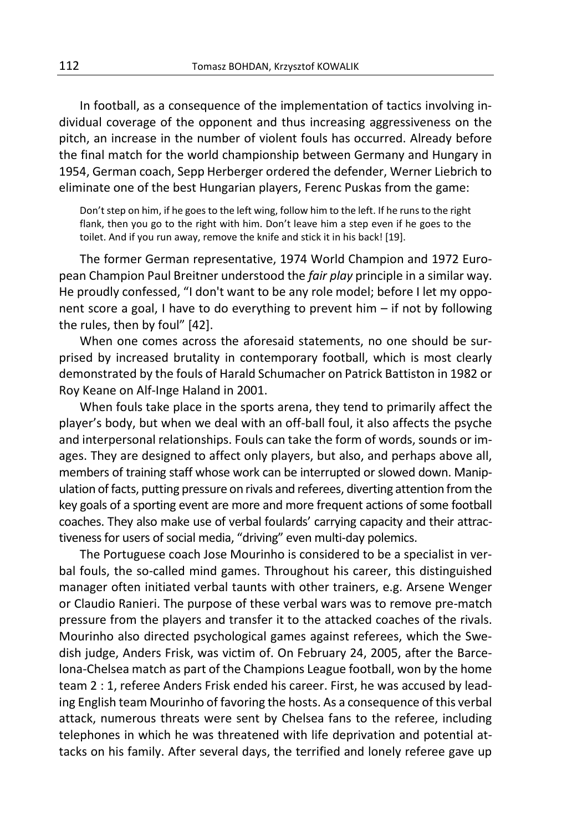In football, as a consequence of the implementation of tactics involving individual coverage of the opponent and thus increasing aggressiveness on the pitch, an increase in the number of violent fouls has occurred. Already before the final match for the world championship between Germany and Hungary in 1954, German coach, Sepp Herberger ordered the defender, Werner Liebrich to eliminate one of the best Hungarian players, Ferenc Puskas from the game:

Don't step on him, if he goes to the left wing, follow him to the left. If he runs to the right flank, then you go to the right with him. Don't leave him a step even if he goes to the toilet. And if you run away, remove the knife and stick it in his back! [19].

The former German representative, 1974 World Champion and 1972 European Champion Paul Breitner understood the *fair play* principle in a similar way. He proudly confessed, "I don't want to be any role model; before I let my opponent score a goal, I have to do everything to prevent him – if not by following the rules, then by foul" [42].

When one comes across the aforesaid statements, no one should be surprised by increased brutality in contemporary football, which is most clearly demonstrated by the fouls of Harald Schumacher on Patrick Battiston in 1982 or Roy Keane on Alf-Inge Haland in 2001.

When fouls take place in the sports arena, they tend to primarily affect the player's body, but when we deal with an off-ball foul, it also affects the psyche and interpersonal relationships. Fouls can take the form of words, sounds or images. They are designed to affect only players, but also, and perhaps above all, members of training staff whose work can be interrupted or slowed down. Manipulation of facts, putting pressure on rivals and referees, diverting attention from the key goals of a sporting event are more and more frequent actions of some football coaches. They also make use of verbal foulards' carrying capacity and their attractiveness for users of social media, "driving" even multi-day polemics.

The Portuguese coach Jose Mourinho is considered to be a specialist in verbal fouls, the so-called mind games. Throughout his career, this distinguished manager often initiated verbal taunts with other trainers, e.g. Arsene Wenger or Claudio Ranieri. The purpose of these verbal wars was to remove pre-match pressure from the players and transfer it to the attacked coaches of the rivals. Mourinho also directed psychological games against referees, which the Swedish judge, Anders Frisk, was victim of. On February 24, 2005, after the Barcelona-Chelsea match as part of the Champions League football, won by the home team 2 : 1, referee Anders Frisk ended his career. First, he was accused by leading English team Mourinho of favoring the hosts. As a consequence of this verbal attack, numerous threats were sent by Chelsea fans to the referee, including telephones in which he was threatened with life deprivation and potential attacks on his family. After several days, the terrified and lonely referee gave up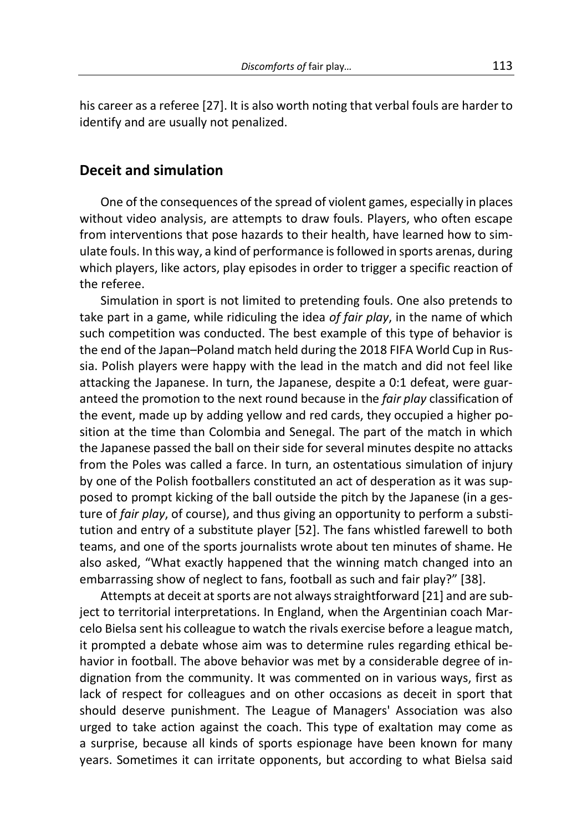his career as a referee [27]. It is also worth noting that verbal fouls are harder to identify and are usually not penalized.

# **Deceit and simulation**

One of the consequences of the spread of violent games, especially in places without video analysis, are attempts to draw fouls. Players, who often escape from interventions that pose hazards to their health, have learned how to simulate fouls. In this way, a kind of performance is followed in sports arenas, during which players, like actors, play episodes in order to trigger a specific reaction of the referee.

Simulation in sport is not limited to pretending fouls. One also pretends to take part in a game, while ridiculing the idea *of fair play*, in the name of which such competition was conducted. The best example of this type of behavior is the end of the Japan–Poland match held during the 2018 FIFA World Cup in Russia. Polish players were happy with the lead in the match and did not feel like attacking the Japanese. In turn, the Japanese, despite a 0:1 defeat, were guaranteed the promotion to the next round because in the *fair play* classification of the event, made up by adding yellow and red cards, they occupied a higher position at the time than Colombia and Senegal. The part of the match in which the Japanese passed the ball on their side for several minutes despite no attacks from the Poles was called a farce. In turn, an ostentatious simulation of injury by one of the Polish footballers constituted an act of desperation as it was supposed to prompt kicking of the ball outside the pitch by the Japanese (in a gesture of *fair play*, of course), and thus giving an opportunity to perform a substitution and entry of a substitute player [52]. The fans whistled farewell to both teams, and one of the sports journalists wrote about ten minutes of shame. He also asked, "What exactly happened that the winning match changed into an embarrassing show of neglect to fans, football as such and fair play?" [38].

Attempts at deceit at sports are not always straightforward [21] and are subject to territorial interpretations. In England, when the Argentinian coach Marcelo Bielsa sent his colleague to watch the rivals exercise before a league match, it prompted a debate whose aim was to determine rules regarding ethical behavior in football. The above behavior was met by a considerable degree of indignation from the community. It was commented on in various ways, first as lack of respect for colleagues and on other occasions as deceit in sport that should deserve punishment. The League of Managers' Association was also urged to take action against the coach. This type of exaltation may come as a surprise, because all kinds of sports espionage have been known for many years. Sometimes it can irritate opponents, but according to what Bielsa said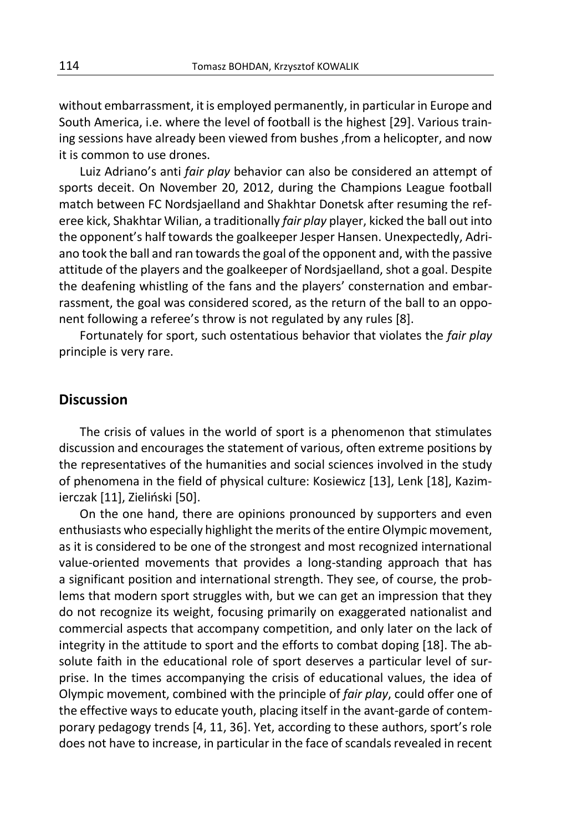without embarrassment, it is employed permanently, in particular in Europe and South America, i.e. where the level of football is the highest [29]. Various training sessions have already been viewed from bushes ,from a helicopter, and now it is common to use drones.

Luiz Adriano's anti *fair play* behavior can also be considered an attempt of sports deceit. On November 20, 2012, during the Champions League football match between FC Nordsjaelland and Shakhtar Donetsk after resuming the referee kick, Shakhtar Wilian, a traditionally *fair play* player, kicked the ball out into the opponent's half towards the goalkeeper Jesper Hansen. Unexpectedly, Adriano took the ball and ran towards the goal of the opponent and, with the passive attitude of the players and the goalkeeper of Nordsjaelland, shot a goal. Despite the deafening whistling of the fans and the players' consternation and embarrassment, the goal was considered scored, as the return of the ball to an opponent following a referee's throw is not regulated by any rules [8].

Fortunately for sport, such ostentatious behavior that violates the *fair play* principle is very rare.

# **Discussion**

The crisis of values in the world of sport is a phenomenon that stimulates discussion and encourages the statement of various, often extreme positions by the representatives of the humanities and social sciences involved in the study of phenomena in the field of physical culture: Kosiewicz [13], Lenk [18], Kazimierczak [11], Zieliński [50].

On the one hand, there are opinions pronounced by supporters and even enthusiasts who especially highlight the merits of the entire Olympic movement, as it is considered to be one of the strongest and most recognized international value-oriented movements that provides a long-standing approach that has a significant position and international strength. They see, of course, the problems that modern sport struggles with, but we can get an impression that they do not recognize its weight, focusing primarily on exaggerated nationalist and commercial aspects that accompany competition, and only later on the lack of integrity in the attitude to sport and the efforts to combat doping [18]. The absolute faith in the educational role of sport deserves a particular level of surprise. In the times accompanying the crisis of educational values, the idea of Olympic movement, combined with the principle of *fair play*, could offer one of the effective ways to educate youth, placing itself in the avant-garde of contemporary pedagogy trends [4, 11, 36]. Yet, according to these authors, sport's role does not have to increase, in particular in the face of scandals revealed in recent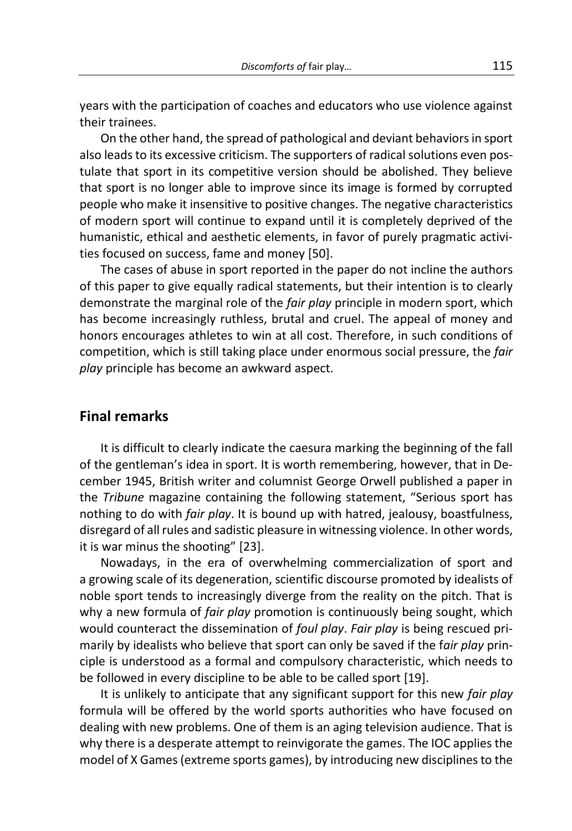years with the participation of coaches and educators who use violence against their trainees.

On the other hand, the spread of pathological and deviant behaviors in sport also leads to its excessive criticism. The supporters of radical solutions even postulate that sport in its competitive version should be abolished. They believe that sport is no longer able to improve since its image is formed by corrupted people who make it insensitive to positive changes. The negative characteristics of modern sport will continue to expand until it is completely deprived of the humanistic, ethical and aesthetic elements, in favor of purely pragmatic activities focused on success, fame and money [50].

The cases of abuse in sport reported in the paper do not incline the authors of this paper to give equally radical statements, but their intention is to clearly demonstrate the marginal role of the *fair play* principle in modern sport, which has become increasingly ruthless, brutal and cruel. The appeal of money and honors encourages athletes to win at all cost. Therefore, in such conditions of competition, which is still taking place under enormous social pressure, the *fair play* principle has become an awkward aspect.

# **Final remarks**

It is difficult to clearly indicate the caesura marking the beginning of the fall of the gentleman's idea in sport. It is worth remembering, however, that in December 1945, British writer and columnist George Orwell published a paper in the *Tribune* magazine containing the following statement, "Serious sport has nothing to do with *fair play*. It is bound up with hatred, jealousy, boastfulness, disregard of all rules and sadistic pleasure in witnessing violence. In other words, it is war minus the shooting" [23].

Nowadays, in the era of overwhelming commercialization of sport and a growing scale of its degeneration, scientific discourse promoted by idealists of noble sport tends to increasingly diverge from the reality on the pitch. That is why a new formula of *fair play* promotion is continuously being sought, which would counteract the dissemination of *foul play*. *Fair play* is being rescued primarily by idealists who believe that sport can only be saved if the f*air play* principle is understood as a formal and compulsory characteristic, which needs to be followed in every discipline to be able to be called sport [19].

It is unlikely to anticipate that any significant support for this new *fair play* formula will be offered by the world sports authorities who have focused on dealing with new problems. One of them is an aging television audience. That is why there is a desperate attempt to reinvigorate the games. The IOC applies the model of X Games (extreme sports games), by introducing new disciplines to the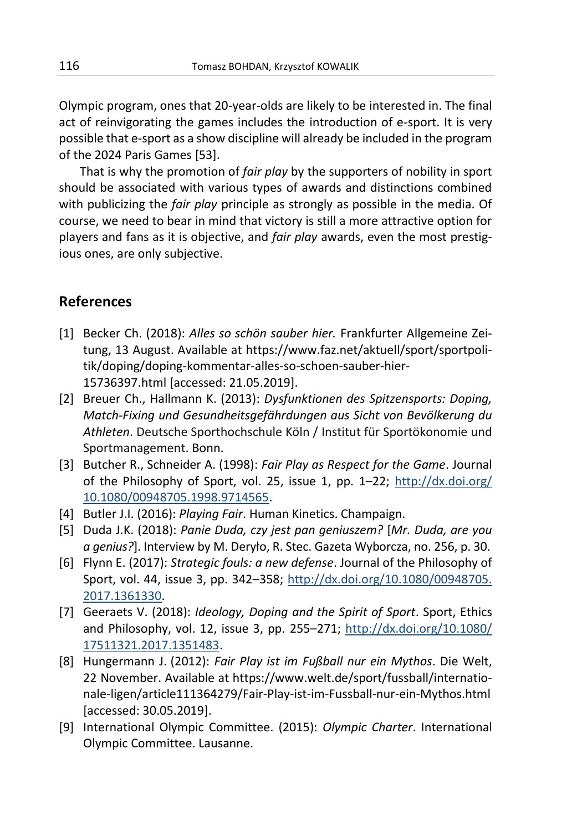Olympic program, ones that 20-year-olds are likely to be interested in. The final act of reinvigorating the games includes the introduction of e-sport. It is very possible that e-sport as a show discipline will already be included in the program of the 2024 Paris Games [53].

That is why the promotion of *fair play* by the supporters of nobility in sport should be associated with various types of awards and distinctions combined with publicizing the *fair play* principle as strongly as possible in the media. Of course, we need to bear in mind that victory is still a more attractive option for players and fans as it is objective, and *fair play* awards, even the most prestigious ones, are only subjective.

# **References**

- [1] Becker Ch. (2018): *Alles so schön sauber hier.* Frankfurter Allgemeine Zeitung, 13 August. Available at https://www.faz.net/aktuell/sport/sportpolitik/doping/doping-kommentar-alles-so-schoen-sauber-hier-15736397.html [accessed: 21.05.2019].
- [2] Breuer Ch., Hallmann K. (2013): *Dysfunktionen des Spitzensports: Doping, Match-Fixing und Gesundheitsgefährdungen aus Sicht von Bevölkerung du Athleten*. Deutsche Sporthochschule Köln / Institut für Sportökonomie und Sportmanagement. Bonn.
- [3] Butcher R., Schneider A. (1998): *Fair Play as Respect for the Game*. Journal of the Philosophy of Sport, vol. 25, issue 1, pp. 1–22; [http://dx.doi.org/](http://dx.doi.org/10.1080/00948705.1998.9714565) [10.1080/00948705.1998.9714565.](http://dx.doi.org/10.1080/00948705.1998.9714565)
- [4] Butler J.I. (2016): *Playing Fair*. Human Kinetics. Champaign.
- [5] Duda J.K. (2018): *Panie Duda, czy jest pan geniuszem?* [*Mr. Duda, are you a genius?*]. Interview by M. Deryło, R. Stec. Gazeta Wyborcza, no. 256, p. 30.
- [6] Flynn E. (2017): *Strategic fouls: a new defense*. Journal of the Philosophy of Sport, vol. 44, issue 3, pp. 342–358; [http://dx.doi.org/10.1080/00948705.](http://dx.doi.org/10.1080/00948705.2017.1361330) [2017.1361330.](http://dx.doi.org/10.1080/00948705.2017.1361330)
- [7] Geeraets V. (2018): *Ideology, Doping and the Spirit of Sport*. Sport, Ethics and Philosophy, vol. 12, issue 3, pp. 255–271; [http://dx.doi.org/10.1080/](http://dx.doi.org/10.1080/17511321.2017.1351483) [17511321.2017.1351483.](http://dx.doi.org/10.1080/17511321.2017.1351483)
- [8] Hungermann J. (2012): *Fair Play ist im Fußball nur ein Mythos*. Die Welt, 22 November. Available at https://www.welt.de/sport/fussball/internationale-ligen/article111364279/Fair-Play-ist-im-Fussball-nur-ein-Mythos.html [accessed: 30.05.2019].
- [9] International Olympic Committee. (2015): *Olympic Charter*. International Olympic Committee. Lausanne.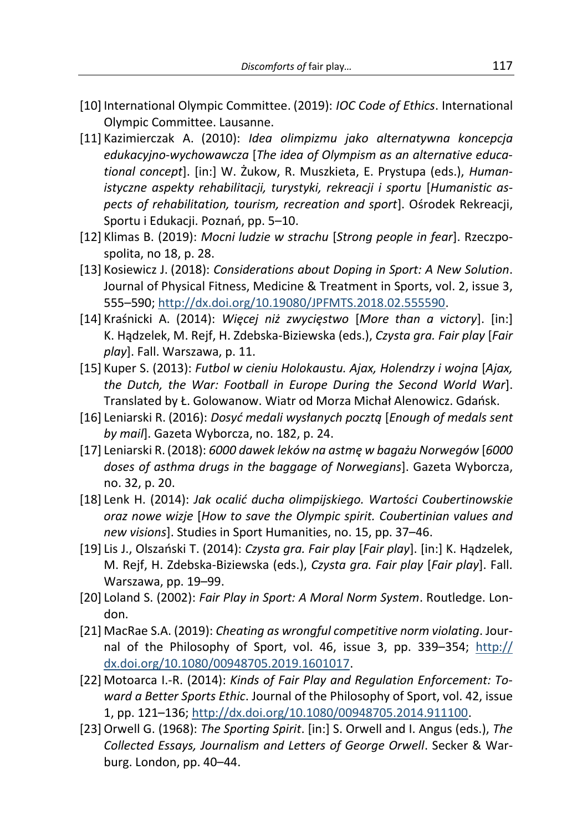- [10] International Olympic Committee. (2019): *IOC Code of Ethics*. International Olympic Committee. Lausanne.
- [11] Kazimierczak A. (2010): *Idea olimpizmu jako alternatywna koncepcja edukacyjno-wychowawcza* [*The idea of Olympism as an alternative educational concept*]. [in:] W. Żukow, R. Muszkieta, E. Prystupa (eds.), *Humanistyczne aspekty rehabilitacji, turystyki, rekreacji i sportu* [*Humanistic aspects of rehabilitation, tourism, recreation and sport*]. Ośrodek Rekreacji, Sportu i Edukacji. Poznań, pp. 5–10.
- [12] Klimas B. (2019): *Mocni ludzie w strachu* [*Strong people in fear*]. Rzeczpospolita, no 18, p. 28.
- [13] Kosiewicz J. (2018): *Considerations about Doping in Sport: A New Solution*. Journal of Physical Fitness, Medicine & Treatment in Sports, vol. 2, issue 3, 555–590; [http://dx.doi.org/10.19080/JPFMTS.2018.02.555590.](http://dx.doi.org/10.19080/JPFMTS.2018.02.555590)
- [14] Kraśnicki A. (2014): *Więcej niż zwycięstwo* [*More than a victory*]. [in:] K. Hądzelek, M. Rejf, H. Zdebska-Biziewska (eds.), *Czysta gra. Fair play* [*Fair play*]. Fall. Warszawa, p. 11.
- [15] Kuper S. (2013): *Futbol w cieniu Holokaustu. Ajax, Holendrzy i wojna* [*Ajax, the Dutch, the War: Football in Europe During the Second World War*]. Translated by Ł. Golowanow. Wiatr od Morza Michał Alenowicz. Gdańsk.
- [16] Leniarski R. (2016): *Dosyć medali wysłanych pocztą* [*Enough of medals sent by mail*]. Gazeta Wyborcza, no. 182, p. 24.
- [17] Leniarski R.(2018): *6000 dawek leków na astmę w bagażu Norwegów* [*6000 doses of asthma drugs in the baggage of Norwegians*]. Gazeta Wyborcza, no. 32, p. 20.
- [18] Lenk H. (2014): *Jak ocalić ducha olimpijskiego. Wartości Coubertinowskie oraz nowe wizje* [*How to save the Olympic spirit. Coubertinian values and new visions*]. Studies in Sport Humanities, no. 15, pp. 37–46.
- [19] Lis J., Olszański T. (2014): *Czysta gra. Fair play* [*Fair play*]. [in:] K. Hądzelek, M. Rejf, H. Zdebska-Biziewska (eds.), *Czysta gra. Fair play* [*Fair play*]. Fall. Warszawa, pp. 19–99.
- [20] Loland S. (2002): *Fair Play in Sport: A Moral Norm System*. Routledge. London.
- [21] MacRae S.A. (2019): *Cheating as wrongful competitive norm violating*. Journal of the Philosophy of Sport, vol. 46, issue 3, pp. 339–354; [http://](http://dx.doi.org/10.1080/00948705.2019.1601017) [dx.doi.org/10.1080/00948705.2019.1601017.](http://dx.doi.org/10.1080/00948705.2019.1601017)
- [22] Motoarca I.-R. (2014): *Kinds of Fair Play and Regulation Enforcement: Toward a Better Sports Ethic*. Journal of the Philosophy of Sport, vol. 42, issue 1, pp. 121–136; [http://dx.doi.org/10.1080/00948705.2014.911100.](http://dx.doi.org/10.1080/00948705.2014.911100)
- [23]Orwell G. (1968): *The Sporting Spirit*. [in:] S. Orwell and I. Angus (eds.), *The Collected Essays, Journalism and Letters of George Orwell*. Secker & Warburg. London, pp. 40–44.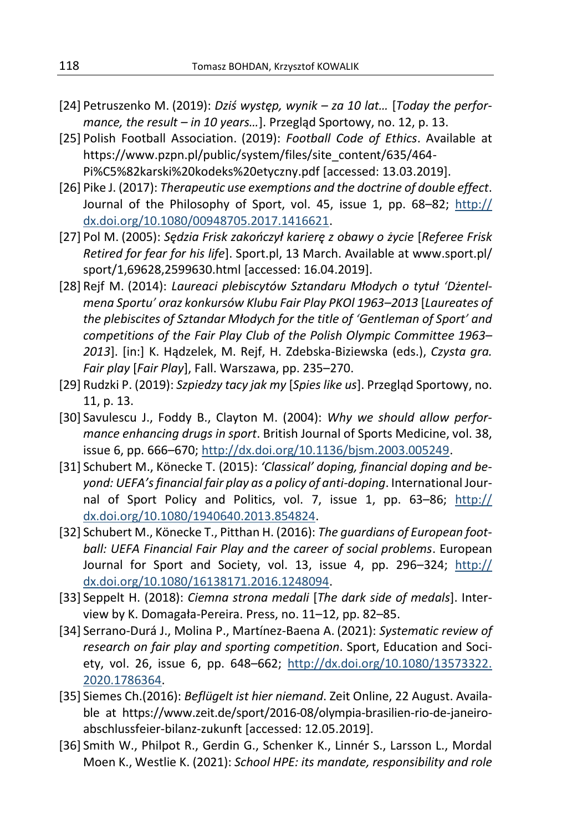- [24] Petruszenko M. (2019): *Dziś występ, wynik – za 10 lat…* [*Today the performance, the result – in 10 years…*]. Przegląd Sportowy, no. 12, p. 13.
- [25] Polish Football Association. (2019): *Football Code of Ethics*. Available at https://www.pzpn.pl/public/system/files/site\_content/635/464- Pi%C5%82karski%20kodeks%20etyczny.pdf [accessed: 13.03.2019].
- [26] Pike J. (2017): *Therapeutic use exemptions and the doctrine of double effect*. Journal of the Philosophy of Sport, vol. 45, issue 1, pp. 68–82; [http://](http://dx.doi.org/10.1080/00948705.2017.1416621) [dx.doi.org/10.1080/00948705.2017.1416621.](http://dx.doi.org/10.1080/00948705.2017.1416621)
- [27] Pol M. (2005): *Sędzia Frisk zakończył karierę z obawy o życie* [*Referee Frisk Retired for fear for his life*]. Sport.pl, 13 March. Available at www.sport.pl/ sport/1,69628,2599630.html [accessed: 16.04.2019].
- [28] Rejf M. (2014): *Laureaci plebiscytów Sztandaru Młodych o tytuł 'Dżentelmena Sportu' oraz konkursów Klubu Fair Play PKOl 1963–2013* [*Laureates of the plebiscites of Sztandar Młodych for the title of 'Gentleman of Sport' and competitions of the Fair Play Club of the Polish Olympic Committee 1963– 2013*]. [in:] K. Hądzelek, M. Rejf, H. Zdebska-Biziewska (eds.), *Czysta gra. Fair play* [*Fair Play*], Fall. Warszawa, pp. 235–270.
- [29] Rudzki P. (2019): *Szpiedzy tacy jak my* [*Spies like us*]. Przegląd Sportowy, no. 11, p. 13.
- [30] Savulescu J., Foddy B., Clayton M. (2004): *Why we should allow performance enhancing drugs in sport*. British Journal of Sports Medicine, vol. 38, issue 6, pp. 666–670; [http://dx.doi.org/10.1136/bjsm.2003.005249.](http://dx.doi.org/10.1136/bjsm.2003.005249)
- [31] Schubert M., Könecke T. (2015): *'Classical' doping, financial doping and beyond: UEFA's financial fair play as a policy of anti-doping*. International Journal of Sport Policy and Politics, vol. 7, issue 1, pp. 63–86; [http://](http://dx.doi.org/10.1080/1940640.2013.854824) [dx.doi.org/10.1080/1940640.2013.854824.](http://dx.doi.org/10.1080/1940640.2013.854824)
- [32] Schubert M., Könecke T., Pitthan H. (2016): *The guardians of European football: UEFA Financial Fair Play and the career of social problems*. European Journal for Sport and Society, vol. 13, issue 4, pp. 296–324; [http://](http://dx.doi.org/10.1080/16138171.2016.1248094) [dx.doi.org/10.1080/16138171.2016.1248094.](http://dx.doi.org/10.1080/16138171.2016.1248094)
- [33] Seppelt H. (2018): *Ciemna strona medali* [*The dark side of medals*]. Interview by K. Domagała-Pereira. Press, no. 11–12, pp. 82–85.
- [34] Serrano-Durá J., Molina P., Martínez-Baena A. (2021): *Systematic review of research on fair play and sporting competition*. Sport, Education and Society, vol. 26, issue 6, pp. 648–662; [http://dx.doi.org/10.1080/13573322.](http://dx.doi.org/10.1080/13573322.2020.1786364) [2020.1786364.](http://dx.doi.org/10.1080/13573322.2020.1786364)
- [35] Siemes Ch.(2016): *Beflügelt ist hier niemand*. Zeit Online, 22 August. Available at https://www.zeit.de/sport/2016-08/olympia-brasilien-rio-de-janeiroabschlussfeier-bilanz-zukunft [accessed: 12.05.2019].
- [36] Smith W., Philpot R., Gerdin G., Schenker K., Linnér S., Larsson L., Mordal Moen K., Westlie K. (2021): *School HPE: its mandate, responsibility and role*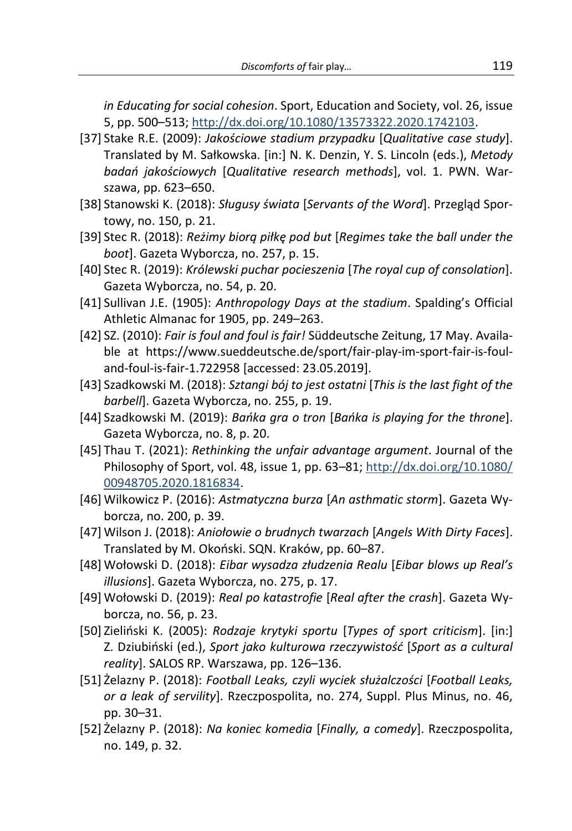*in Educating for social cohesion*. Sport, Education and Society, vol. 26, issue 5, pp. 500–513; [http://dx.doi.org/10.1080/13573322.2020.1742103.](http://dx.doi.org/10.1080/13573322.2020.1742103)

- [37] Stake R.E. (2009): *Jakościowe stadium przypadku* [*Qualitative case study*]. Translated by M. Sałkowska. [in:] N. K. Denzin, Y. S. Lincoln (eds.), *Metody badań jakościowych* [*Qualitative research methods*], vol. 1. PWN. Warszawa, pp. 623–650.
- [38] Stanowski K. (2018): *Sługusy świata* [*Servants of the Word*]. Przegląd Sportowy, no. 150, p. 21.
- [39] Stec R. (2018): *Reżimy biorą piłkę pod but* [*Regimes take the ball under the boot*]. Gazeta Wyborcza, no. 257, p. 15.
- [40] Stec R. (2019): *Królewski puchar pocieszenia* [*The royal cup of consolation*]. Gazeta Wyborcza, no. 54, p. 20.
- [41] Sullivan J.E. (1905): *Anthropology Days at the stadium*. Spalding's Official Athletic Almanac for 1905, pp. 249–263.
- [42] SZ. (2010): *Fair is foul and foul is fair!* Süddeutsche Zeitung, 17 May. Available at https://www.sueddeutsche.de/sport/fair-play-im-sport-fair-is-fouland-foul-is-fair-1.722958 [accessed: 23.05.2019].
- [43] Szadkowski M. (2018): *Sztangi bój to jest ostatni* [*This is the last fight of the barbell*]. Gazeta Wyborcza, no. 255, p. 19.
- [44] Szadkowski M. (2019): *Bańka gra o tron* [*Bańka is playing for the throne*]. Gazeta Wyborcza, no. 8, p. 20.
- [45] Thau T. (2021): *Rethinking the unfair advantage argument*. Journal of the Philosophy of Sport, vol. 48, issue 1, pp. 63-81; [http://dx.doi.org/10.1080/](http://dx.doi.org/10.1080/00948705.2020.1816834) [00948705.2020.1816834.](http://dx.doi.org/10.1080/00948705.2020.1816834)
- [46] Wilkowicz P. (2016): *Astmatyczna burza* [*An asthmatic storm*]. Gazeta Wyborcza, no. 200, p. 39.
- [47] Wilson J. (2018): *Aniołowie o brudnych twarzach* [*Angels With Dirty Faces*]. Translated by M. Okoński. SQN. Kraków, pp. 60–87.
- [48] Wołowski D. (2018): *Eibar wysadza złudzenia Realu* [*Eibar blows up Real's illusions*]. Gazeta Wyborcza, no. 275, p. 17.
- [49] Wołowski D. (2019): *Real po katastrofie* [*Real after the crash*]. Gazeta Wyborcza, no. 56, p. 23.
- [50] Zieliński K. (2005): *Rodzaje krytyki sportu* [*Types of sport criticism*]. [in:] Z. Dziubiński (ed.), *Sport jako kulturowa rzeczywistość* [*Sport as a cultural reality*]. SALOS RP. Warszawa, pp. 126–136.
- [51] Żelazny P. (2018): *Football Leaks, czyli wyciek służalczości* [*Football Leaks, or a leak of servility*]. Rzeczpospolita, no. 274, Suppl. Plus Minus, no. 46, pp. 30–31.
- [52] Żelazny P. (2018): *Na koniec komedia* [*Finally, a comedy*]. Rzeczpospolita, no. 149, p. 32.